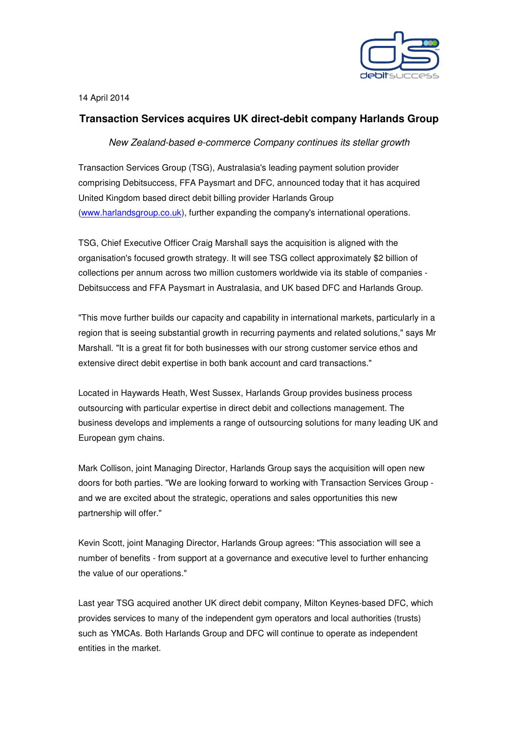

14 April 2014

## **Transaction Services acquires UK direct-debit company Harlands Group**

New Zealand-based e-commerce Company continues its stellar growth

Transaction Services Group (TSG), Australasia's leading payment solution provider comprising Debitsuccess, FFA Paysmart and DFC, announced today that it has acquired United Kingdom based direct debit billing provider Harlands Group (www.harlandsgroup.co.uk), further expanding the company's international operations.

TSG, Chief Executive Officer Craig Marshall says the acquisition is aligned with the organisation's focused growth strategy. It will see TSG collect approximately \$2 billion of collections per annum across two million customers worldwide via its stable of companies - Debitsuccess and FFA Paysmart in Australasia, and UK based DFC and Harlands Group.

"This move further builds our capacity and capability in international markets, particularly in a region that is seeing substantial growth in recurring payments and related solutions," says Mr Marshall. "It is a great fit for both businesses with our strong customer service ethos and extensive direct debit expertise in both bank account and card transactions."

Located in Haywards Heath, West Sussex, Harlands Group provides business process outsourcing with particular expertise in direct debit and collections management. The business develops and implements a range of outsourcing solutions for many leading UK and European gym chains.

Mark Collison, joint Managing Director, Harlands Group says the acquisition will open new doors for both parties. "We are looking forward to working with Transaction Services Group and we are excited about the strategic, operations and sales opportunities this new partnership will offer."

Kevin Scott, joint Managing Director, Harlands Group agrees: "This association will see a number of benefits - from support at a governance and executive level to further enhancing the value of our operations."

Last year TSG acquired another UK direct debit company, Milton Keynes-based DFC, which provides services to many of the independent gym operators and local authorities (trusts) such as YMCAs. Both Harlands Group and DFC will continue to operate as independent entities in the market.